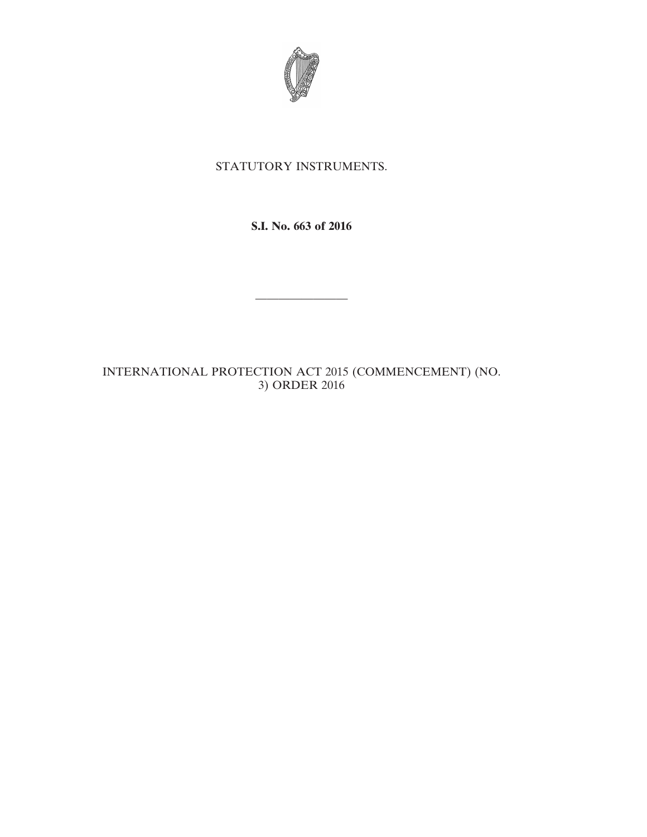

## STATUTORY INSTRUMENTS.

**S.I. No. 663 of 2016**

————————

INTERNATIONAL PROTECTION ACT 2015 (COMMENCEMENT) (NO. 3) ORDER 2016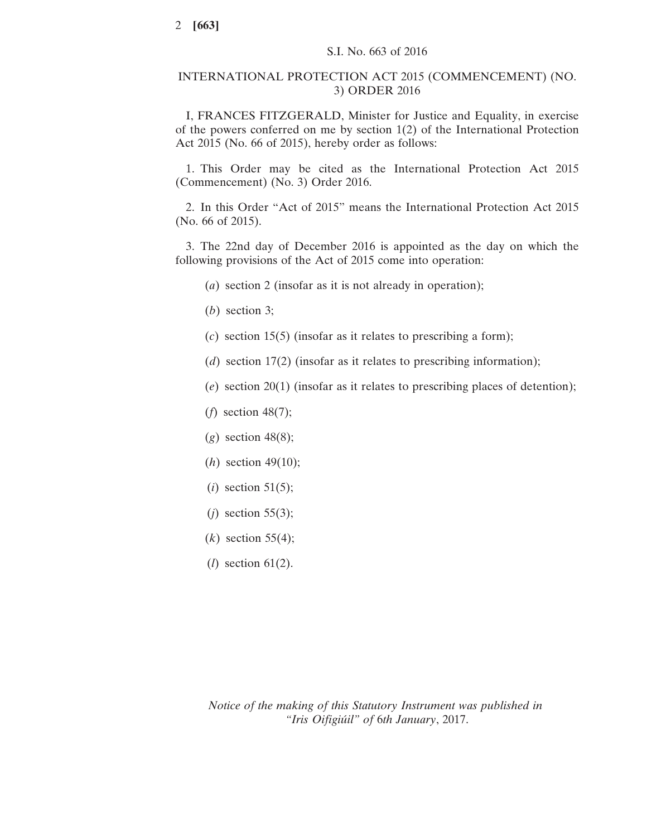## INTERNATIONAL PROTECTION ACT 2015 (COMMENCEMENT) (NO. 3) ORDER 2016

I, FRANCES FITZGERALD, Minister for Justice and Equality, in exercise of the powers conferred on me by section 1(2) of the International Protection Act 2015 (No. 66 of 2015), hereby order as follows:

1. This Order may be cited as the International Protection Act 2015 (Commencement) (No. 3) Order 2016.

2. In this Order "Act of 2015" means the International Protection Act 2015 (No. 66 of 2015).

3. The 22nd day of December 2016 is appointed as the day on which the following provisions of the Act of 2015 come into operation:

- (*a*) section 2 (insofar as it is not already in operation);
- (*b*) section 3;
- (*c*) section 15(5) (insofar as it relates to prescribing a form);
- (*d*) section 17(2) (insofar as it relates to prescribing information);
- (*e*) section 20(1) (insofar as it relates to prescribing places of detention);
- (*f*) section 48(7);
- (*g*) section 48(8);
- (*h*) section 49(10);
- (*i*) section 51(5);
- (*j*) section 55(3);
- (*k*) section 55(4);
- (*l*) section 61(2).

*Notice of the making of this Statutory Instrument was published in "Iris Oifigiúil" of* 6*th January*, 2017.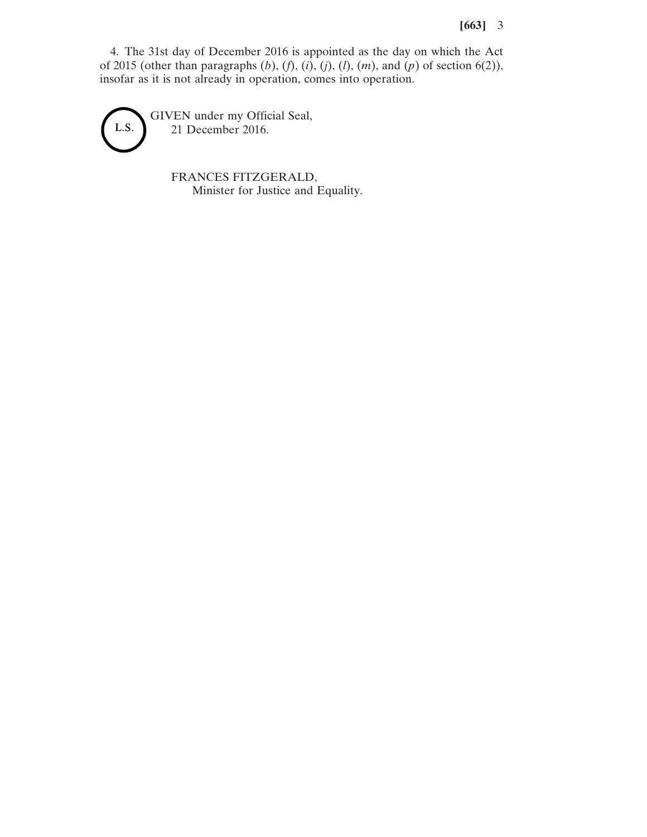## **[663]** 3

4. The 31st day of December 2016 is appointed as the day on which the Act of 2015 (other than paragraphs (*b*), (*f*), (*i*), (*j*), (*l*), (*m*), and (*p*) of section 6(2)), insofar as it is not already in operation, comes into operation.

GIVEN under my Official Seal, L.S. 21 December 2016.

> FRANCES FITZGERALD, Minister for Justice and Equality.